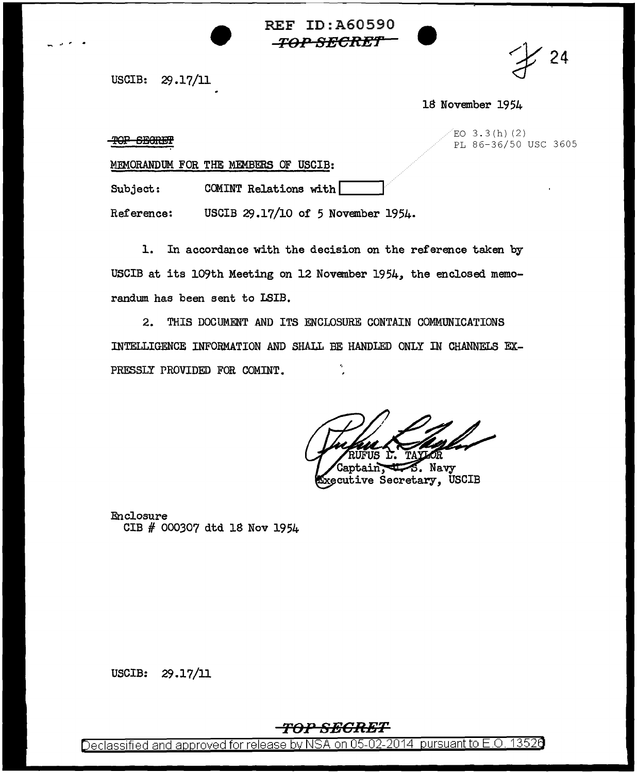**REF ID: A60590** *-TOP-SECRET* 



USCIB: 29.17/11

18 November 1954

 $EO$  3.3(h)(2) PL 86-36/50 USC 3605

TOP SEGRET

MEMORANDUM FOR THE MEMBERS OF USCIB:

Subject: COMINT Relations with

USCIB 29.17/10 of 5 November 1954. Reference:

1. In accordance with the decision on the reference taken by USCIB at its 109th Meeting on 12 November 1954, the enclosed memorandum has been sent to LSIB.

2. THIS DOCUMENT AND ITS ENCLOSURE CONTAIN COMMUNICATIONS INTELLIGENCE INFORMATION AND SHALL BE HANDLED ONLY IN CHANNELS EX-PRESSLY PROVIDED FOR COMINT.

S. Navy Executive Secretary, USCIB

Enclosure CIB # 000307 dtd 18 Nov 1954

USCIB:  $29.17/11$ 

## <del>-TOP SECRET</del>

Declassified and approved for release by NSA on 05-02-2014 pursuant to E.O. 13526